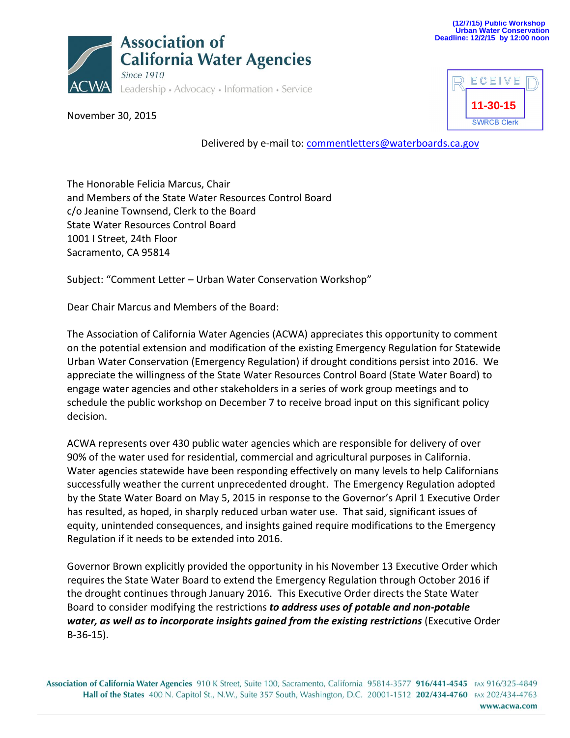

November 30, 2015



Delivered by e-mail to: [commentletters@waterboards.ca.gov](mailto:commentletters@waterboards.ca.gov)

The Honorable Felicia Marcus, Chair and Members of the State Water Resources Control Board c/o Jeanine Townsend, Clerk to the Board State Water Resources Control Board 1001 I Street, 24th Floor Sacramento, CA 95814

Subject: "Comment Letter – Urban Water Conservation Workshop"

Dear Chair Marcus and Members of the Board:

The Association of California Water Agencies (ACWA) appreciates this opportunity to comment on the potential extension and modification of the existing Emergency Regulation for Statewide Urban Water Conservation (Emergency Regulation) if drought conditions persist into 2016. We appreciate the willingness of the State Water Resources Control Board (State Water Board) to engage water agencies and other stakeholders in a series of work group meetings and to schedule the public workshop on December 7 to receive broad input on this significant policy decision.

ACWA represents over 430 public water agencies which are responsible for delivery of over 90% of the water used for residential, commercial and agricultural purposes in California. Water agencies statewide have been responding effectively on many levels to help Californians successfully weather the current unprecedented drought. The Emergency Regulation adopted by the State Water Board on May 5, 2015 in response to the Governor's April 1 Executive Order has resulted, as hoped, in sharply reduced urban water use. That said, significant issues of equity, unintended consequences, and insights gained require modifications to the Emergency Regulation if it needs to be extended into 2016.

Governor Brown explicitly provided the opportunity in his November 13 Executive Order which requires the State Water Board to extend the Emergency Regulation through October 2016 if the drought continues through January 2016. This Executive Order directs the State Water Board to consider modifying the restrictions *to address uses of potable and non-potable water, as well as to incorporate insights gained from the existing restrictions* (Executive Order B-36-15).

Association of California Water Agencies 910 K Street, Suite 100, Sacramento, California 95814-3577 916/441-4545 FAX 916/325-4849 Hall of the States 400 N. Capitol St., N.W., Suite 357 South, Washington, D.C. 20001-1512 202/434-4760 FAX 202/434-4763 www.acwa.com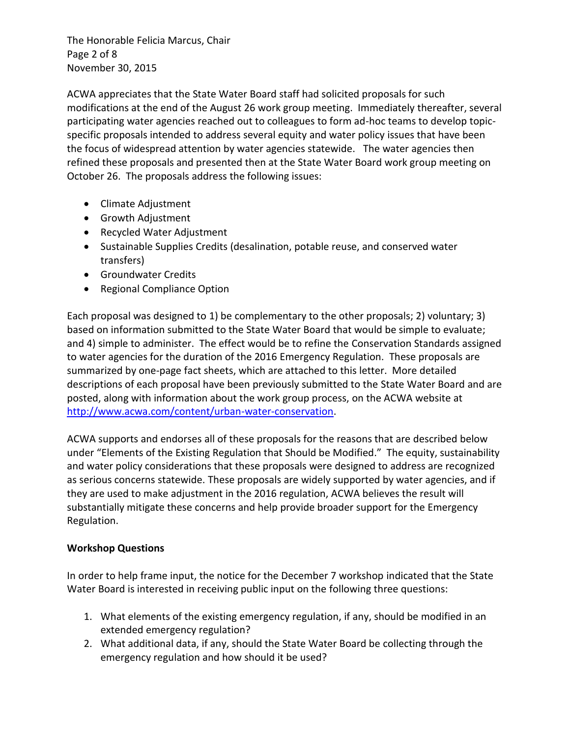The Honorable Felicia Marcus, Chair Page 2 of 8 November 30, 2015

ACWA appreciates that the State Water Board staff had solicited proposals for such modifications at the end of the August 26 work group meeting. Immediately thereafter, several participating water agencies reached out to colleagues to form ad-hoc teams to develop topicspecific proposals intended to address several equity and water policy issues that have been the focus of widespread attention by water agencies statewide. The water agencies then refined these proposals and presented then at the State Water Board work group meeting on October 26. The proposals address the following issues:

- Climate Adjustment
- Growth Adjustment
- Recycled Water Adjustment
- Sustainable Supplies Credits (desalination, potable reuse, and conserved water transfers)
- **•** Groundwater Credits
- Regional Compliance Option

Each proposal was designed to 1) be complementary to the other proposals; 2) voluntary; 3) based on information submitted to the State Water Board that would be simple to evaluate; and 4) simple to administer. The effect would be to refine the Conservation Standards assigned to water agencies for the duration of the 2016 Emergency Regulation. These proposals are summarized by one-page fact sheets, which are attached to this letter. More detailed descriptions of each proposal have been previously submitted to the State Water Board and are posted, along with information about the work group process, on the ACWA website at [http://www.acwa.com/content/urban-water-conservation.](http://www.acwa.com/content/urban-water-conservation)

ACWA supports and endorses all of these proposals for the reasons that are described below under "Elements of the Existing Regulation that Should be Modified." The equity, sustainability and water policy considerations that these proposals were designed to address are recognized as serious concerns statewide. These proposals are widely supported by water agencies, and if they are used to make adjustment in the 2016 regulation, ACWA believes the result will substantially mitigate these concerns and help provide broader support for the Emergency Regulation.

### **Workshop Questions**

In order to help frame input, the notice for the December 7 workshop indicated that the State Water Board is interested in receiving public input on the following three questions:

- 1. What elements of the existing emergency regulation, if any, should be modified in an extended emergency regulation?
- 2. What additional data, if any, should the State Water Board be collecting through the emergency regulation and how should it be used?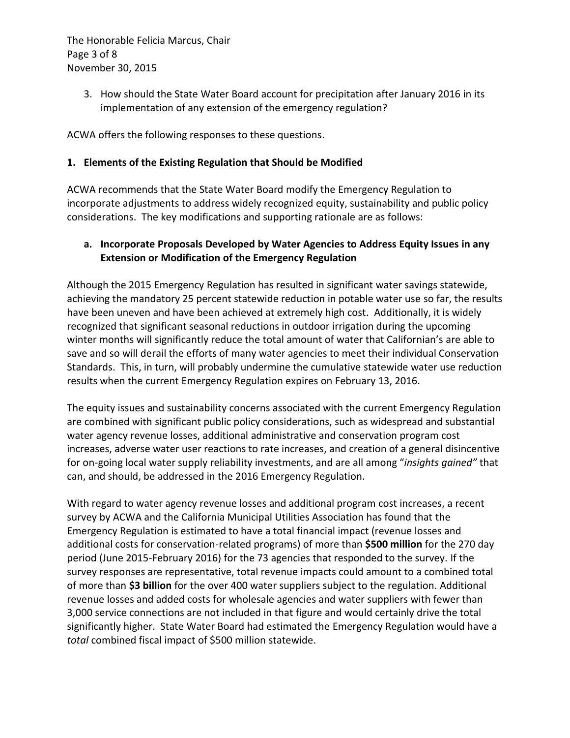The Honorable Felicia Marcus, Chair Page 3 of 8 November 30, 2015

> 3. How should the State Water Board account for precipitation after January 2016 in its implementation of any extension of the emergency regulation?

ACWA offers the following responses to these questions.

### **1. Elements of the Existing Regulation that Should be Modified**

ACWA recommends that the State Water Board modify the Emergency Regulation to incorporate adjustments to address widely recognized equity, sustainability and public policy considerations. The key modifications and supporting rationale are as follows:

### **a. Incorporate Proposals Developed by Water Agencies to Address Equity Issues in any Extension or Modification of the Emergency Regulation**

Although the 2015 Emergency Regulation has resulted in significant water savings statewide, achieving the mandatory 25 percent statewide reduction in potable water use so far, the results have been uneven and have been achieved at extremely high cost. Additionally, it is widely recognized that significant seasonal reductions in outdoor irrigation during the upcoming winter months will significantly reduce the total amount of water that Californian's are able to save and so will derail the efforts of many water agencies to meet their individual Conservation Standards. This, in turn, will probably undermine the cumulative statewide water use reduction results when the current Emergency Regulation expires on February 13, 2016.

The equity issues and sustainability concerns associated with the current Emergency Regulation are combined with significant public policy considerations, such as widespread and substantial water agency revenue losses, additional administrative and conservation program cost increases, adverse water user reactions to rate increases, and creation of a general disincentive for on-going local water supply reliability investments, and are all among "*insights gained"* that can, and should, be addressed in the 2016 Emergency Regulation.

With regard to water agency revenue losses and additional program cost increases, a recent survey by ACWA and the California Municipal Utilities Association has found that the Emergency Regulation is estimated to have a total financial impact (revenue losses and additional costs for conservation-related programs) of more than **\$500 million** for the 270 day period (June 2015-February 2016) for the 73 agencies that responded to the survey. If the survey responses are representative, total revenue impacts could amount to a combined total of more than **\$3 billion** for the over 400 water suppliers subject to the regulation. Additional revenue losses and added costs for wholesale agencies and water suppliers with fewer than 3,000 service connections are not included in that figure and would certainly drive the total significantly higher. State Water Board had estimated the Emergency Regulation would have a *total* combined fiscal impact of \$500 million statewide.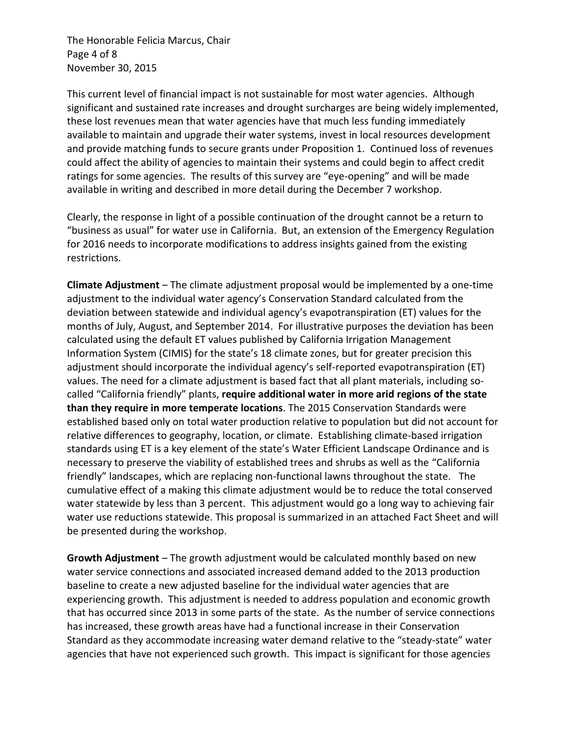The Honorable Felicia Marcus, Chair Page 4 of 8 November 30, 2015

This current level of financial impact is not sustainable for most water agencies. Although significant and sustained rate increases and drought surcharges are being widely implemented, these lost revenues mean that water agencies have that much less funding immediately available to maintain and upgrade their water systems, invest in local resources development and provide matching funds to secure grants under Proposition 1. Continued loss of revenues could affect the ability of agencies to maintain their systems and could begin to affect credit ratings for some agencies. The results of this survey are "eye-opening" and will be made available in writing and described in more detail during the December 7 workshop.

Clearly, the response in light of a possible continuation of the drought cannot be a return to "business as usual" for water use in California. But, an extension of the Emergency Regulation for 2016 needs to incorporate modifications to address insights gained from the existing restrictions.

**Climate Adjustment** – The climate adjustment proposal would be implemented by a one-time adjustment to the individual water agency's Conservation Standard calculated from the deviation between statewide and individual agency's evapotranspiration (ET) values for the months of July, August, and September 2014. For illustrative purposes the deviation has been calculated using the default ET values published by California Irrigation Management Information System (CIMIS) for the state's 18 climate zones, but for greater precision this adjustment should incorporate the individual agency's self-reported evapotranspiration (ET) values. The need for a climate adjustment is based fact that all plant materials, including socalled "California friendly" plants, **require additional water in more arid regions of the state than they require in more temperate locations**. The 2015 Conservation Standards were established based only on total water production relative to population but did not account for relative differences to geography, location, or climate. Establishing climate-based irrigation standards using ET is a key element of the state's Water Efficient Landscape Ordinance and is necessary to preserve the viability of established trees and shrubs as well as the "California friendly" landscapes, which are replacing non-functional lawns throughout the state. The cumulative effect of a making this climate adjustment would be to reduce the total conserved water statewide by less than 3 percent. This adjustment would go a long way to achieving fair water use reductions statewide. This proposal is summarized in an attached Fact Sheet and will be presented during the workshop.

**Growth Adjustment** – The growth adjustment would be calculated monthly based on new water service connections and associated increased demand added to the 2013 production baseline to create a new adjusted baseline for the individual water agencies that are experiencing growth. This adjustment is needed to address population and economic growth that has occurred since 2013 in some parts of the state. As the number of service connections has increased, these growth areas have had a functional increase in their Conservation Standard as they accommodate increasing water demand relative to the "steady-state" water agencies that have not experienced such growth. This impact is significant for those agencies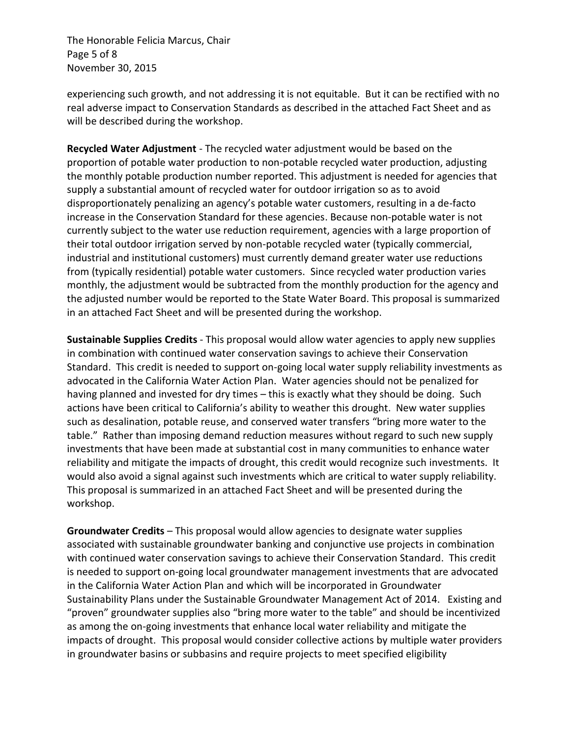The Honorable Felicia Marcus, Chair Page 5 of 8 November 30, 2015

experiencing such growth, and not addressing it is not equitable. But it can be rectified with no real adverse impact to Conservation Standards as described in the attached Fact Sheet and as will be described during the workshop.

**Recycled Water Adjustment** - The recycled water adjustment would be based on the proportion of potable water production to non-potable recycled water production, adjusting the monthly potable production number reported. This adjustment is needed for agencies that supply a substantial amount of recycled water for outdoor irrigation so as to avoid disproportionately penalizing an agency's potable water customers, resulting in a de-facto increase in the Conservation Standard for these agencies. Because non-potable water is not currently subject to the water use reduction requirement, agencies with a large proportion of their total outdoor irrigation served by non-potable recycled water (typically commercial, industrial and institutional customers) must currently demand greater water use reductions from (typically residential) potable water customers. Since recycled water production varies monthly, the adjustment would be subtracted from the monthly production for the agency and the adjusted number would be reported to the State Water Board. This proposal is summarized in an attached Fact Sheet and will be presented during the workshop.

**Sustainable Supplies Credits** - This proposal would allow water agencies to apply new supplies in combination with continued water conservation savings to achieve their Conservation Standard. This credit is needed to support on-going local water supply reliability investments as advocated in the California Water Action Plan. Water agencies should not be penalized for having planned and invested for dry times – this is exactly what they should be doing. Such actions have been critical to California's ability to weather this drought. New water supplies such as desalination, potable reuse, and conserved water transfers "bring more water to the table." Rather than imposing demand reduction measures without regard to such new supply investments that have been made at substantial cost in many communities to enhance water reliability and mitigate the impacts of drought, this credit would recognize such investments. It would also avoid a signal against such investments which are critical to water supply reliability. This proposal is summarized in an attached Fact Sheet and will be presented during the workshop.

**Groundwater Credits** – This proposal would allow agencies to designate water supplies associated with sustainable groundwater banking and conjunctive use projects in combination with continued water conservation savings to achieve their Conservation Standard. This credit is needed to support on-going local groundwater management investments that are advocated in the California Water Action Plan and which will be incorporated in Groundwater Sustainability Plans under the Sustainable Groundwater Management Act of 2014. Existing and "proven" groundwater supplies also "bring more water to the table" and should be incentivized as among the on-going investments that enhance local water reliability and mitigate the impacts of drought. This proposal would consider collective actions by multiple water providers in groundwater basins or subbasins and require projects to meet specified eligibility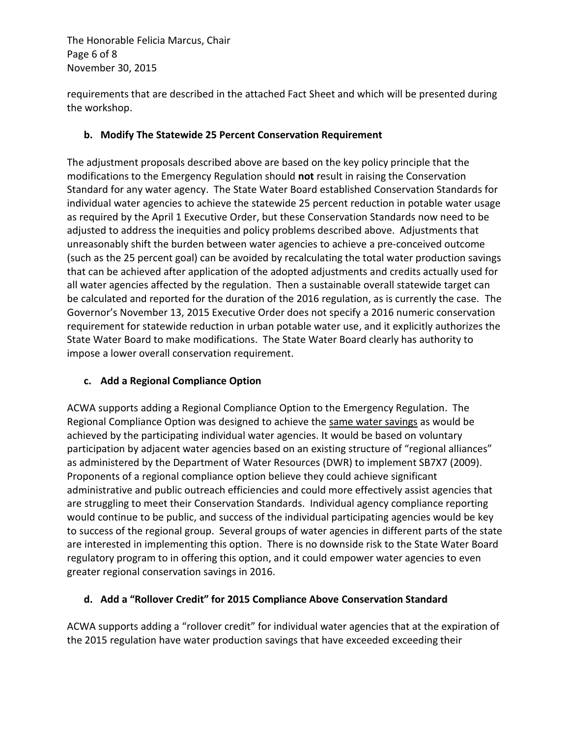The Honorable Felicia Marcus, Chair Page 6 of 8 November 30, 2015

requirements that are described in the attached Fact Sheet and which will be presented during the workshop.

### **b. Modify The Statewide 25 Percent Conservation Requirement**

The adjustment proposals described above are based on the key policy principle that the modifications to the Emergency Regulation should **not** result in raising the Conservation Standard for any water agency. The State Water Board established Conservation Standards for individual water agencies to achieve the statewide 25 percent reduction in potable water usage as required by the April 1 Executive Order, but these Conservation Standards now need to be adjusted to address the inequities and policy problems described above. Adjustments that unreasonably shift the burden between water agencies to achieve a pre-conceived outcome (such as the 25 percent goal) can be avoided by recalculating the total water production savings that can be achieved after application of the adopted adjustments and credits actually used for all water agencies affected by the regulation. Then a sustainable overall statewide target can be calculated and reported for the duration of the 2016 regulation, as is currently the case. The Governor's November 13, 2015 Executive Order does not specify a 2016 numeric conservation requirement for statewide reduction in urban potable water use, and it explicitly authorizes the State Water Board to make modifications. The State Water Board clearly has authority to impose a lower overall conservation requirement.

# **c. Add a Regional Compliance Option**

ACWA supports adding a Regional Compliance Option to the Emergency Regulation. The Regional Compliance Option was designed to achieve the same water savings as would be achieved by the participating individual water agencies. It would be based on voluntary participation by adjacent water agencies based on an existing structure of "regional alliances" as administered by the Department of Water Resources (DWR) to implement SB7X7 (2009). Proponents of a regional compliance option believe they could achieve significant administrative and public outreach efficiencies and could more effectively assist agencies that are struggling to meet their Conservation Standards. Individual agency compliance reporting would continue to be public, and success of the individual participating agencies would be key to success of the regional group. Several groups of water agencies in different parts of the state are interested in implementing this option. There is no downside risk to the State Water Board regulatory program to in offering this option, and it could empower water agencies to even greater regional conservation savings in 2016.

# **d. Add a "Rollover Credit" for 2015 Compliance Above Conservation Standard**

ACWA supports adding a "rollover credit" for individual water agencies that at the expiration of the 2015 regulation have water production savings that have exceeded exceeding their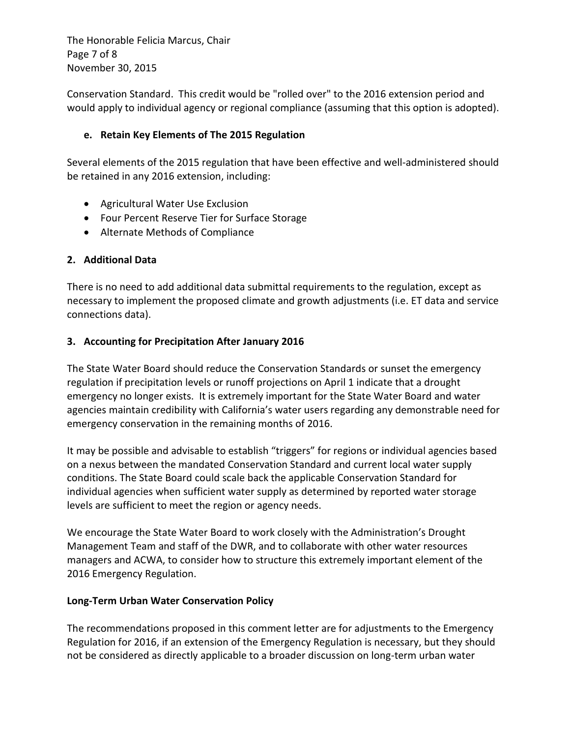The Honorable Felicia Marcus, Chair Page 7 of 8 November 30, 2015

Conservation Standard. This credit would be "rolled over" to the 2016 extension period and would apply to individual agency or regional compliance (assuming that this option is adopted).

#### **e. Retain Key Elements of The 2015 Regulation**

Several elements of the 2015 regulation that have been effective and well-administered should be retained in any 2016 extension, including:

- Agricultural Water Use Exclusion
- Four Percent Reserve Tier for Surface Storage
- Alternate Methods of Compliance

### **2. Additional Data**

There is no need to add additional data submittal requirements to the regulation, except as necessary to implement the proposed climate and growth adjustments (i.e. ET data and service connections data).

### **3. Accounting for Precipitation After January 2016**

The State Water Board should reduce the Conservation Standards or sunset the emergency regulation if precipitation levels or runoff projections on April 1 indicate that a drought emergency no longer exists. It is extremely important for the State Water Board and water agencies maintain credibility with California's water users regarding any demonstrable need for emergency conservation in the remaining months of 2016.

It may be possible and advisable to establish "triggers" for regions or individual agencies based on a nexus between the mandated Conservation Standard and current local water supply conditions. The State Board could scale back the applicable Conservation Standard for individual agencies when sufficient water supply as determined by reported water storage levels are sufficient to meet the region or agency needs.

We encourage the State Water Board to work closely with the Administration's Drought Management Team and staff of the DWR, and to collaborate with other water resources managers and ACWA, to consider how to structure this extremely important element of the 2016 Emergency Regulation.

#### **Long-Term Urban Water Conservation Policy**

The recommendations proposed in this comment letter are for adjustments to the Emergency Regulation for 2016, if an extension of the Emergency Regulation is necessary, but they should not be considered as directly applicable to a broader discussion on long-term urban water